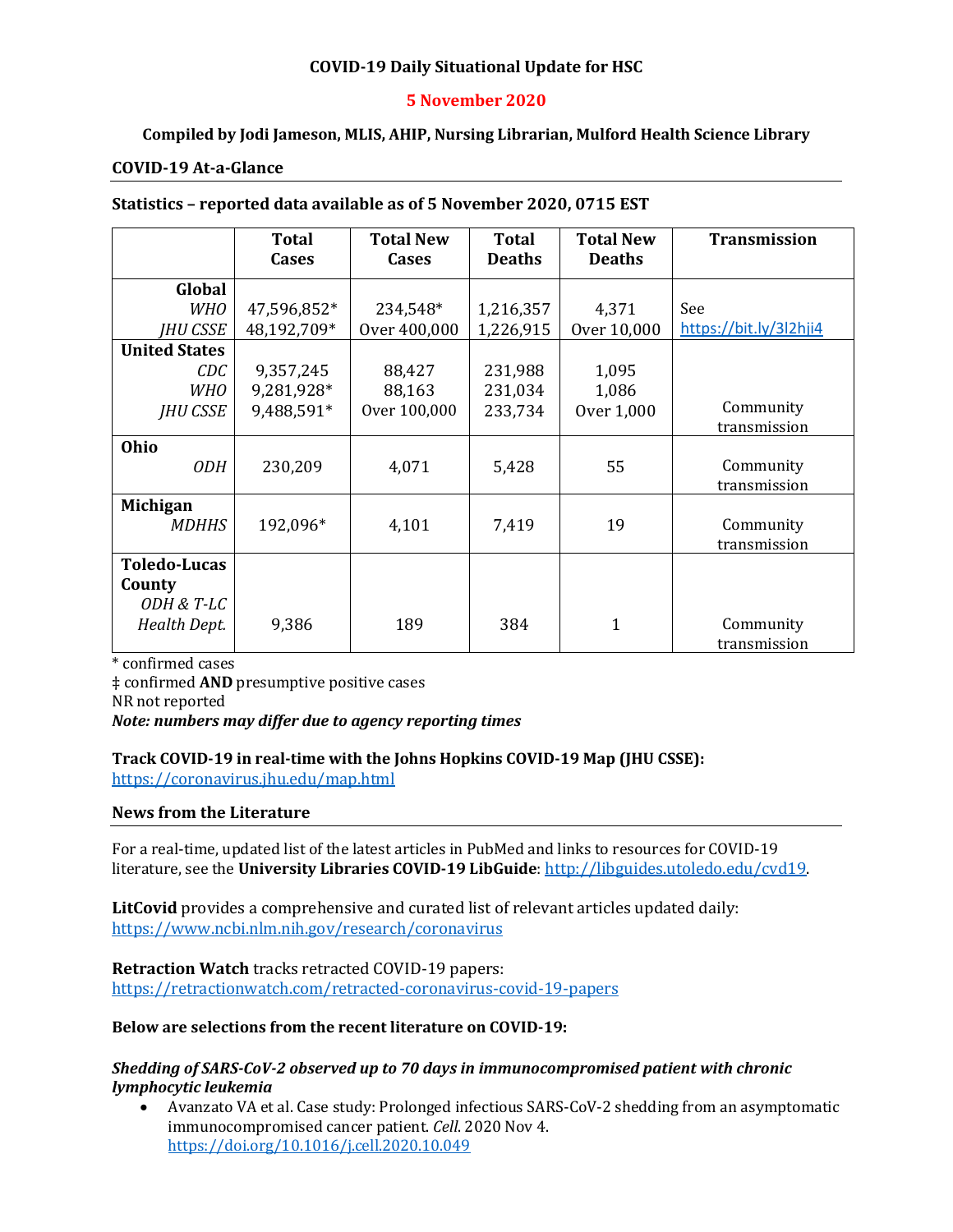## **COVID-19 Daily Situational Update for HSC**

### **5 November 2020**

## **Compiled by Jodi Jameson, MLIS, AHIP, Nursing Librarian, Mulford Health Science Library**

### **COVID-19 At-a-Glance**

#### **Statistics – reported data available as of 5 November 2020, 0715 EST**

|                      | <b>Total</b> | <b>Total New</b> | <b>Total</b>  | <b>Total New</b> | <b>Transmission</b>    |
|----------------------|--------------|------------------|---------------|------------------|------------------------|
|                      | Cases        | <b>Cases</b>     | <b>Deaths</b> | <b>Deaths</b>    |                        |
|                      |              |                  |               |                  |                        |
| Global               |              |                  |               |                  |                        |
| <i>WHO</i>           | 47,596,852*  | 234,548*         | 1,216,357     | 4,371            | See                    |
| <b>IHU CSSE</b>      | 48,192,709*  | Over 400,000     | 1,226,915     | Over 10,000      | https://bit.ly/3l2hji4 |
| <b>United States</b> |              |                  |               |                  |                        |
| CDC                  | 9,357,245    | 88,427           | 231,988       | 1,095            |                        |
| <b>WHO</b>           | 9,281,928*   | 88,163           | 231,034       | 1,086            |                        |
| <b>JHU CSSE</b>      | 9,488,591*   | Over 100,000     | 233,734       | Over 1,000       | Community              |
|                      |              |                  |               |                  | transmission           |
| Ohio                 |              |                  |               |                  |                        |
| <b>ODH</b>           | 230,209      | 4,071            | 5,428         | 55               | Community              |
|                      |              |                  |               |                  | transmission           |
| <b>Michigan</b>      |              |                  |               |                  |                        |
| <b>MDHHS</b>         | 192,096*     | 4,101            | 7,419         | 19               | Community              |
|                      |              |                  |               |                  | transmission           |
| <b>Toledo-Lucas</b>  |              |                  |               |                  |                        |
| County               |              |                  |               |                  |                        |
| ODH & T-LC           |              |                  |               |                  |                        |
| Health Dept.         | 9,386        | 189              | 384           | 1                | Community              |
|                      |              |                  |               |                  | transmission           |

\* confirmed cases

‡ confirmed **AND** presumptive positive cases NR not reported *Note: numbers may differ due to agency reporting times* 

#### **Track COVID-19 in real-time with the Johns Hopkins COVID-19 Map (JHU CSSE):** <https://coronavirus.jhu.edu/map.html>

### **News from the Literature**

For a real-time, updated list of the latest articles in PubMed and links to resources for COVID-19 literature, see the **University Libraries COVID-19 LibGuide**[: http://libguides.utoledo.edu/cvd19.](http://libguides.utoledo.edu/cvd19) 

**LitCovid** provides a comprehensive and curated list of relevant articles updated daily: <https://www.ncbi.nlm.nih.gov/research/coronavirus>

**Retraction Watch** tracks retracted COVID-19 papers: [https://retractionwatch.com/retracted-coronavirus-covid-19-papers](https://retractionwatch.com/retracted-coronavirus-covid-19-papers/)

### **Below are selections from the recent literature on COVID-19:**

#### *Shedding of SARS-CoV-2 observed up to 70 days in immunocompromised patient with chronic lymphocytic leukemia*

• Avanzato VA et al. Case study: Prolonged infectious SARS-CoV-2 shedding from an asymptomatic immunocompromised cancer patient. *Cell*. 2020 Nov 4. <https://doi.org/10.1016/j.cell.2020.10.049>